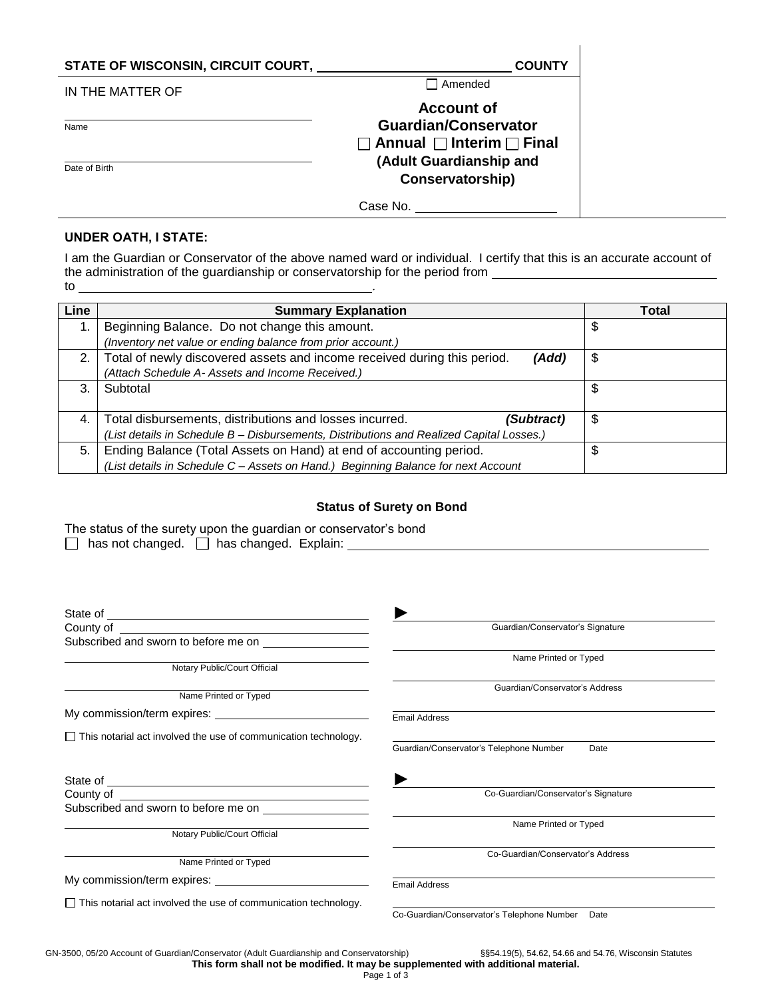| STATE OF WISCONSIN, CIRCUIT COURT, | <b>COUNTY</b>                                                                                 |
|------------------------------------|-----------------------------------------------------------------------------------------------|
| IN THE MATTER OF                   | Amended                                                                                       |
| Name                               | <b>Account of</b><br><b>Guardian/Conservator</b><br>$\Box$ Annual $\Box$ Interim $\Box$ Final |
| Date of Birth                      | (Adult Guardianship and<br>Conservatorship)                                                   |
|                                    | Case No.                                                                                      |

## **UNDER OATH, I STATE:**

I am the Guardian or Conservator of the above named ward or individual. I certify that this is an accurate account of the administration of the guardianship or conservatorship for the period from to .

| Line | <b>Summary Explanation</b>                                                               | Total |
|------|------------------------------------------------------------------------------------------|-------|
|      | Beginning Balance. Do not change this amount.                                            | \$    |
|      | (Inventory net value or ending balance from prior account.)                              |       |
| 2.   | Total of newly discovered assets and income received during this period.<br>(Add)        | \$    |
|      | (Attach Schedule A- Assets and Income Received.)                                         |       |
| 3.   | Subtotal                                                                                 | \$    |
|      |                                                                                          |       |
| 4.   | Total disbursements, distributions and losses incurred.<br>(Subtract)                    | \$    |
|      | (List details in Schedule B - Disbursements, Distributions and Realized Capital Losses.) |       |
| 5.   | Ending Balance (Total Assets on Hand) at end of accounting period.                       | \$    |
|      | (List details in Schedule C - Assets on Hand.) Beginning Balance for next Account        |       |

## **Status of Surety on Bond**

|                                                  |  | The status of the surety upon the guardian or conservator's bond |
|--------------------------------------------------|--|------------------------------------------------------------------|
| $\Box$ the set decaded $\Box$ has decaded $\Box$ |  |                                                                  |

|  | has not changed. |  | ∫ has changed. Explain: |  |
|--|------------------|--|-------------------------|--|
|--|------------------|--|-------------------------|--|

|                                                                                  | Guardian/Conservator's Signature                   |
|----------------------------------------------------------------------------------|----------------------------------------------------|
|                                                                                  |                                                    |
|                                                                                  | Name Printed or Typed                              |
| Notary Public/Court Official                                                     |                                                    |
| Name Printed or Typed                                                            | Guardian/Conservator's Address                     |
|                                                                                  | <b>Email Address</b>                               |
| $\Box$ This notarial act involved the use of communication technology.           | Guardian/Conservator's Telephone Number<br>Date    |
|                                                                                  |                                                    |
|                                                                                  | Co-Guardian/Conservator's Signature                |
| Subscribed and sworn to before me on <b>contract to the system of the system</b> |                                                    |
| Notary Public/Court Official                                                     | Name Printed or Typed                              |
| Name Printed or Typed                                                            | Co-Guardian/Conservator's Address                  |
|                                                                                  | <b>Email Address</b>                               |
| $\Box$ This notarial act involved the use of communication technology.           | Co-Guardian/Conservator's Telephone Number<br>Date |
|                                                                                  |                                                    |

GN-3500, 05/20 Account of Guardian/Conservator (Adult Guardianship and Conservatorship) §§54.19(5), 54.62, 54.66 and 54.76, Wisconsin Statutes **This form shall not be modified. It may be supplemented with additional material.**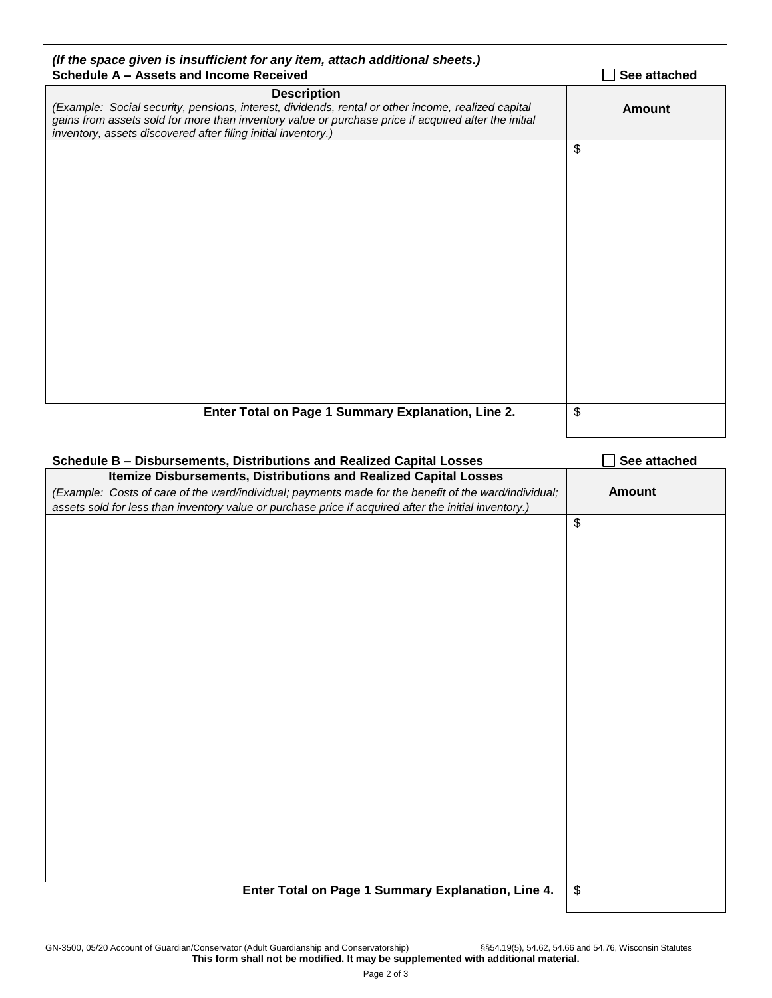| (If the space given is insufficient for any item, attach additional sheets.)                                                                                                                               |               |
|------------------------------------------------------------------------------------------------------------------------------------------------------------------------------------------------------------|---------------|
| Schedule A - Assets and Income Received                                                                                                                                                                    | See attached  |
| <b>Description</b>                                                                                                                                                                                         |               |
| (Example: Social security, pensions, interest, dividends, rental or other income, realized capital<br>gains from assets sold for more than inventory value or purchase price if acquired after the initial | <b>Amount</b> |
| inventory, assets discovered after filing initial inventory.)                                                                                                                                              |               |
|                                                                                                                                                                                                            | \$            |
|                                                                                                                                                                                                            |               |
|                                                                                                                                                                                                            |               |
|                                                                                                                                                                                                            |               |
|                                                                                                                                                                                                            |               |
|                                                                                                                                                                                                            |               |
|                                                                                                                                                                                                            |               |
|                                                                                                                                                                                                            |               |
|                                                                                                                                                                                                            |               |
|                                                                                                                                                                                                            |               |
|                                                                                                                                                                                                            |               |
|                                                                                                                                                                                                            |               |
|                                                                                                                                                                                                            |               |
|                                                                                                                                                                                                            |               |
|                                                                                                                                                                                                            |               |
|                                                                                                                                                                                                            |               |
|                                                                                                                                                                                                            |               |
|                                                                                                                                                                                                            |               |
|                                                                                                                                                                                                            |               |
| Enter Total on Page 1 Summary Explanation, Line 2.                                                                                                                                                         | \$            |
|                                                                                                                                                                                                            |               |
|                                                                                                                                                                                                            |               |
| Schedule B - Disbursements, Distributions and Realized Capital Losses                                                                                                                                      | See attached  |
| Itemize Disbursements, Distributions and Realized Capital Losses                                                                                                                                           |               |

| Scributib – Dispuisements, Distributibiis and Neanzeu Capital Losses                                  | <b>Jee allacheu</b>       |
|-------------------------------------------------------------------------------------------------------|---------------------------|
| Itemize Disbursements, Distributions and Realized Capital Losses                                      |                           |
| (Example: Costs of care of the ward/individual; payments made for the benefit of the ward/individual; | <b>Amount</b>             |
| assets sold for less than inventory value or purchase price if acquired after the initial inventory.) |                           |
|                                                                                                       | $\boldsymbol{\mathsf{S}}$ |
|                                                                                                       |                           |
|                                                                                                       |                           |
|                                                                                                       |                           |
|                                                                                                       |                           |
|                                                                                                       |                           |
|                                                                                                       |                           |
|                                                                                                       |                           |
|                                                                                                       |                           |
|                                                                                                       |                           |
|                                                                                                       |                           |
|                                                                                                       |                           |
|                                                                                                       |                           |
|                                                                                                       |                           |
|                                                                                                       |                           |
|                                                                                                       |                           |
|                                                                                                       |                           |
|                                                                                                       |                           |
|                                                                                                       |                           |
|                                                                                                       |                           |
|                                                                                                       |                           |
|                                                                                                       |                           |
|                                                                                                       |                           |
|                                                                                                       |                           |
| Enter Total on Page 1 Summary Explanation, Line 4.                                                    | $\boldsymbol{\$}$         |
|                                                                                                       |                           |